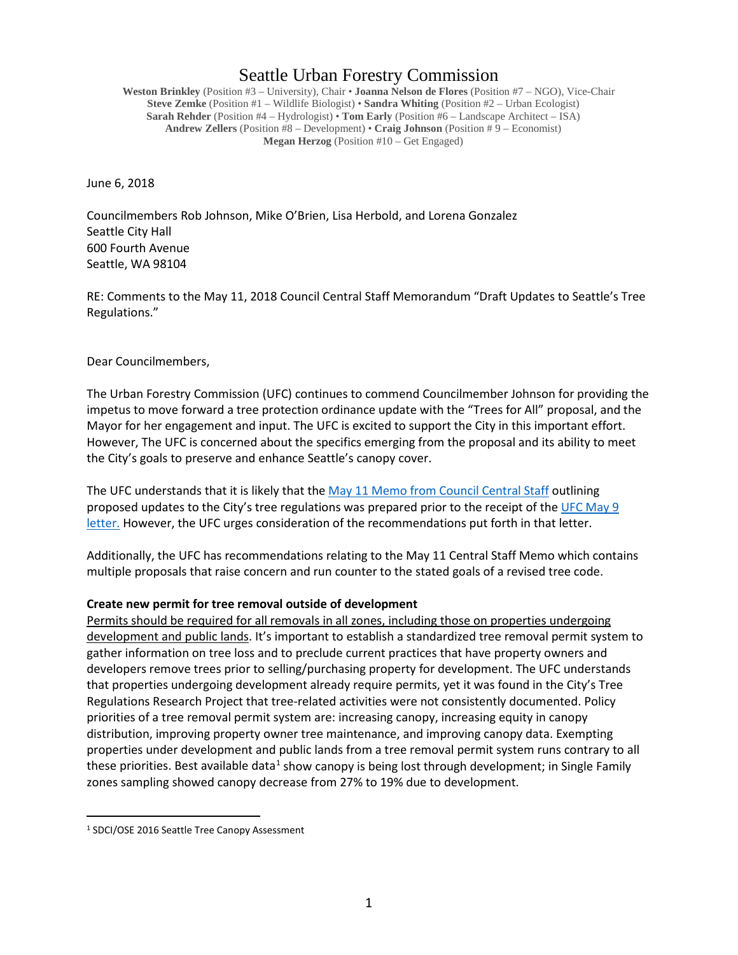# Seattle Urban Forestry Commission

**Weston Brinkley** (Position #3 – University), Chair • **Joanna Nelson de Flores** (Position #7 – NGO), Vice-Chair **Steve Zemke** (Position #1 – Wildlife Biologist) • **Sandra Whiting** (Position #2 – Urban Ecologist) **Sarah Rehder** (Position #4 – Hydrologist) • **Tom Early** (Position #6 – Landscape Architect – ISA) **Andrew Zellers** (Position #8 – Development) • **Craig Johnson** (Position # 9 – Economist) **Megan Herzog** (Position #10 – Get Engaged)

June 6, 2018

Councilmembers Rob Johnson, Mike O'Brien, Lisa Herbold, and Lorena Gonzalez Seattle City Hall 600 Fourth Avenue Seattle, WA 98104

RE: Comments to the May 11, 2018 Council Central Staff Memorandum "Draft Updates to Seattle's Tree Regulations."

Dear Councilmembers,

The Urban Forestry Commission (UFC) continues to commend Councilmember Johnson for providing the impetus to move forward a tree protection ordinance update with the "Trees for All" proposal, and the Mayor for her engagement and input. The UFC is excited to support the City in this important effort. However, The UFC is concerned about the specifics emerging from the proposal and its ability to meet the City's goals to preserve and enhance Seattle's canopy cover.

The UFC understands that it is likely that th[e May 11 Memo from Council Central Staff](http://www.seattle.gov/Documents/Departments/UrbanForestryCommission/2018/2018docs/TreeRegsCentralStaffMemoPLUZ051618.pdf) outlining proposed updates to the City's tree regulations was prepared prior to the receipt of the UFC [May 9](https://www.seattle.gov/Documents/Departments/UrbanForestryCommission/FinalIssuedDocuments/Recommendations/ADOPTEDCMJohnsonTreesforAll050918.pdf)  [letter.](https://www.seattle.gov/Documents/Departments/UrbanForestryCommission/FinalIssuedDocuments/Recommendations/ADOPTEDCMJohnsonTreesforAll050918.pdf) However, the UFC urges consideration of the recommendations put forth in that letter.

Additionally, the UFC has recommendations relating to the May 11 Central Staff Memo which contains multiple proposals that raise concern and run counter to the stated goals of a revised tree code.

## **Create new permit for tree removal outside of development**

Permits should be required for all removals in all zones, including those on properties undergoing development and public lands. It's important to establish a standardized tree removal permit system to gather information on tree loss and to preclude current practices that have property owners and developers remove trees prior to selling/purchasing property for development. The UFC understands that properties undergoing development already require permits, yet it was found in the City's Tree Regulations Research Project that tree-related activities were not consistently documented. Policy priorities of a tree removal permit system are: increasing canopy, increasing equity in canopy distribution, improving property owner tree maintenance, and improving canopy data. Exempting properties under development and public lands from a tree removal permit system runs contrary to all these priorities. Best available data<sup>[1](#page-0-0)</sup> show canopy is being lost through development; in Single Family zones sampling showed canopy decrease from 27% to 19% due to development.

<span id="page-0-0"></span> <sup>1</sup> SDCI/OSE 2016 Seattle Tree Canopy Assessment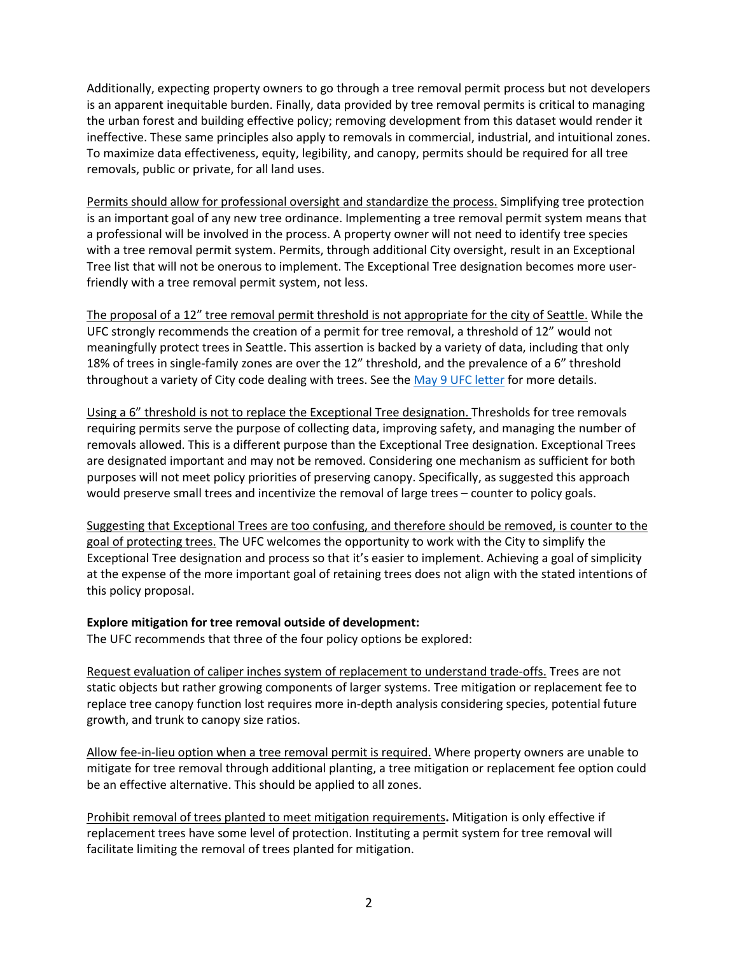Additionally, expecting property owners to go through a tree removal permit process but not developers is an apparent inequitable burden. Finally, data provided by tree removal permits is critical to managing the urban forest and building effective policy; removing development from this dataset would render it ineffective. These same principles also apply to removals in commercial, industrial, and intuitional zones. To maximize data effectiveness, equity, legibility, and canopy, permits should be required for all tree removals, public or private, for all land uses.

Permits should allow for professional oversight and standardize the process. Simplifying tree protection is an important goal of any new tree ordinance. Implementing a tree removal permit system means that a professional will be involved in the process. A property owner will not need to identify tree species with a tree removal permit system. Permits, through additional City oversight, result in an Exceptional Tree list that will not be onerous to implement. The Exceptional Tree designation becomes more userfriendly with a tree removal permit system, not less.

The proposal of a 12" tree removal permit threshold is not appropriate for the city of Seattle. While the UFC strongly recommends the creation of a permit for tree removal, a threshold of 12" would not meaningfully protect trees in Seattle. This assertion is backed by a variety of data, including that only 18% of trees in single-family zones are over the 12" threshold, and the prevalence of a 6" threshold throughout a variety of City code dealing with trees. See the [May 9 UFC](https://www.seattle.gov/Documents/Departments/UrbanForestryCommission/FinalIssuedDocuments/Recommendations/ADOPTEDCMJohnsonTreesforAll050918.pdf) letter for more details.

Using a 6" threshold is not to replace the Exceptional Tree designation. Thresholds for tree removals requiring permits serve the purpose of collecting data, improving safety, and managing the number of removals allowed. This is a different purpose than the Exceptional Tree designation. Exceptional Trees are designated important and may not be removed. Considering one mechanism as sufficient for both purposes will not meet policy priorities of preserving canopy. Specifically, as suggested this approach would preserve small trees and incentivize the removal of large trees – counter to policy goals.

Suggesting that Exceptional Trees are too confusing, and therefore should be removed, is counter to the goal of protecting trees. The UFC welcomes the opportunity to work with the City to simplify the Exceptional Tree designation and process so that it's easier to implement. Achieving a goal of simplicity at the expense of the more important goal of retaining trees does not align with the stated intentions of this policy proposal.

## **Explore mitigation for tree removal outside of development:**

The UFC recommends that three of the four policy options be explored:

Request evaluation of caliper inches system of replacement to understand trade-offs. Trees are not static objects but rather growing components of larger systems. Tree mitigation or replacement fee to replace tree canopy function lost requires more in-depth analysis considering species, potential future growth, and trunk to canopy size ratios.

Allow fee-in-lieu option when a tree removal permit is required. Where property owners are unable to mitigate for tree removal through additional planting, a tree mitigation or replacement fee option could be an effective alternative. This should be applied to all zones.

Prohibit removal of trees planted to meet mitigation requirements**.** Mitigation is only effective if replacement trees have some level of protection. Instituting a permit system for tree removal will facilitate limiting the removal of trees planted for mitigation.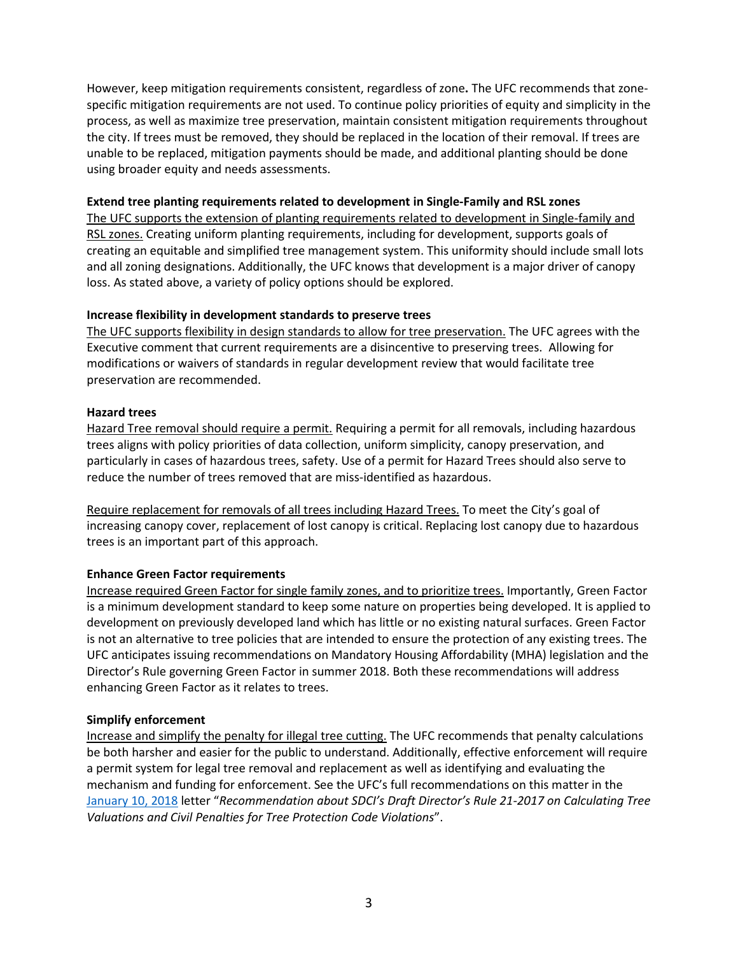However, keep mitigation requirements consistent, regardless of zone**.** The UFC recommends that zonespecific mitigation requirements are not used. To continue policy priorities of equity and simplicity in the process, as well as maximize tree preservation, maintain consistent mitigation requirements throughout the city. If trees must be removed, they should be replaced in the location of their removal. If trees are unable to be replaced, mitigation payments should be made, and additional planting should be done using broader equity and needs assessments.

#### **Extend tree planting requirements related to development in Single-Family and RSL zones**

The UFC supports the extension of planting requirements related to development in Single-family and RSL zones. Creating uniform planting requirements, including for development, supports goals of creating an equitable and simplified tree management system. This uniformity should include small lots and all zoning designations. Additionally, the UFC knows that development is a major driver of canopy loss. As stated above, a variety of policy options should be explored.

## **Increase flexibility in development standards to preserve trees**

The UFC supports flexibility in design standards to allow for tree preservation. The UFC agrees with the Executive comment that current requirements are a disincentive to preserving trees.Allowing for modifications or waivers of standards in regular development review that would facilitate tree preservation are recommended.

#### **Hazard trees**

Hazard Tree removal should require a permit. Requiring a permit for all removals, including hazardous trees aligns with policy priorities of data collection, uniform simplicity, canopy preservation, and particularly in cases of hazardous trees, safety. Use of a permit for Hazard Trees should also serve to reduce the number of trees removed that are miss-identified as hazardous.

Require replacement for removals of all trees including Hazard Trees. To meet the City's goal of increasing canopy cover, replacement of lost canopy is critical. Replacing lost canopy due to hazardous trees is an important part of this approach.

## **Enhance Green Factor requirements**

Increase required Green Factor for single family zones, and to prioritize trees. Importantly, Green Factor is a minimum development standard to keep some nature on properties being developed. It is applied to development on previously developed land which has little or no existing natural surfaces. Green Factor is not an alternative to tree policies that are intended to ensure the protection of any existing trees. The UFC anticipates issuing recommendations on Mandatory Housing Affordability (MHA) legislation and the Director's Rule governing Green Factor in summer 2018. Both these recommendations will address enhancing Green Factor as it relates to trees.

## **Simplify enforcement**

Increase and simplify the penalty for illegal tree cutting. The UFC recommends that penalty calculations be both harsher and easier for the public to understand. Additionally, effective enforcement will require a permit system for legal tree removal and replacement as well as identifying and evaluating the mechanism and funding for enforcement. See the UFC's full recommendations on this matter in the [January 10,](http://www.seattle.gov/Documents/Departments/UrbanForestryCommission/FinalIssuedDocuments/Recommendations/ADOPTEDCommentsSDCI-DR21-2017.pdf) 2018 letter "*Recommendation about SDCI's Draft Director's Rule 21-2017 on Calculating Tree Valuations and Civil Penalties for Tree Protection Code Violations*".